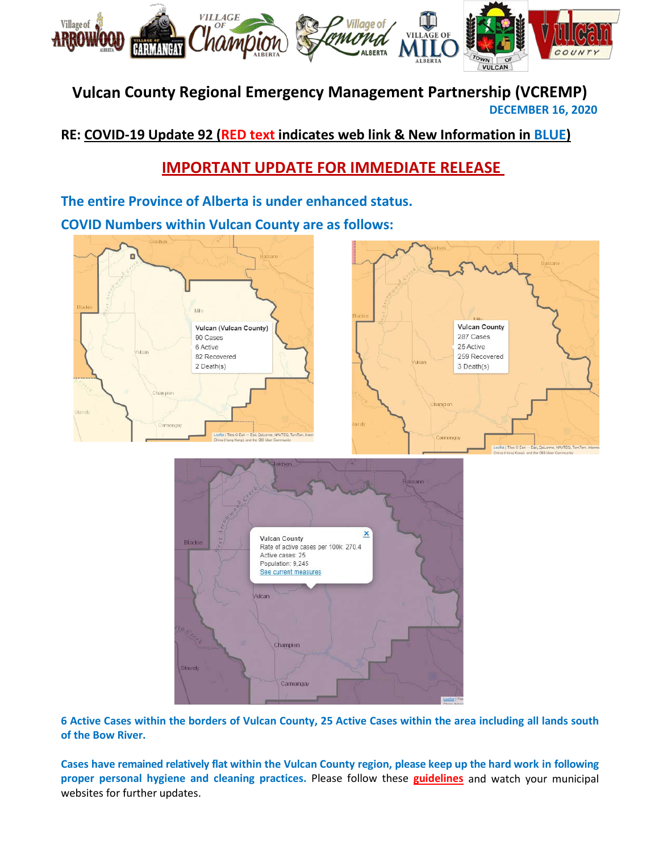

# **Vulcan County Regional Emergency Management Partnership (VCREMP) DECEMBER 16, 2020**

**RE: COVID-19 Update 92 (RED text indicates web link & New Information in BLUE)**

# **IMPORTANT UPDATE FOR IMMEDIATE RELEASE**

**The entire Province of Alberta is under enhanced status.**

**COVID Numbers within Vulcan County are as follows:**





**6 Active Cases within the borders of Vulcan County, 25 Active Cases within the area including all lands south of the Bow River.**

**Cases have remained relatively flat within the Vulcan County region, please keep up the hard work in following proper personal hygiene and cleaning practices.** Please follow these **[guidelines](https://www.albertahealthservices.ca/topics/Page16997.aspx#sign)** and watch your municipal websites for further updates.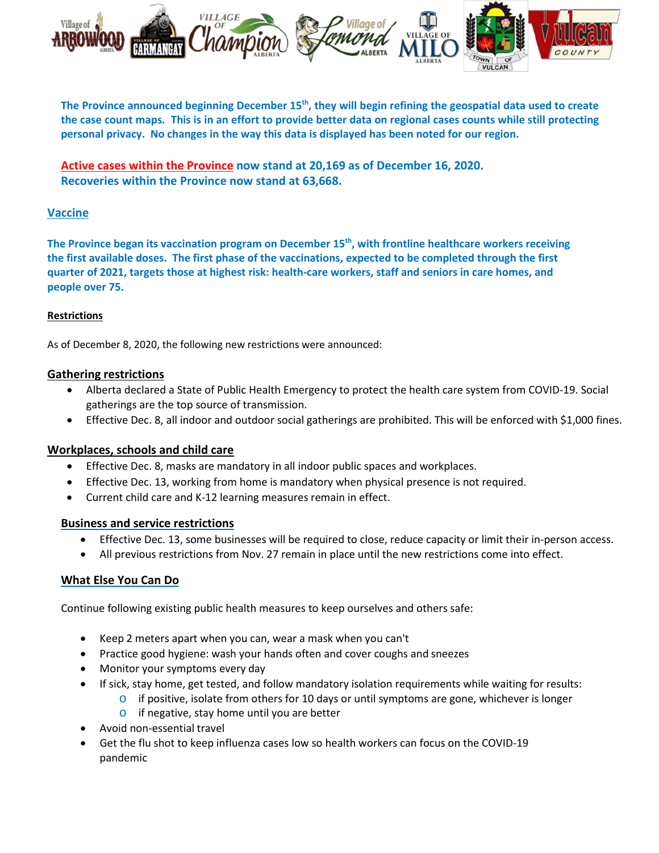

**The Province announced beginning December 15th, they will begin refining the geospatial data used to create the case count maps. This is in an effort to provide better data on regional cases counts while still protecting personal privacy. No changes in the way this data is displayed has been noted for our region.**

**[Active cases within the Province](https://www.alberta.ca/stats/covid-19-alberta-statistics.htm) now stand at 20,169 as of December 16, 2020. Recoveries within the Province now stand at 63,668.**

# **Vaccine**

The Province began its vaccination program on December 15<sup>th</sup>, with frontline healthcare workers receiving **the first available doses. The first phase of the vaccinations, expected to be completed through the first quarter of 2021, targets those at highest risk: health-care workers, staff and seniors in care homes, and people over 75.**

## **Restrictions**

As of December 8, 2020, the following new restrictions were announced:

## **Gathering restrictions**

- Alberta declared a State of Public Health Emergency to protect the health care system from COVID-19. Social gatherings are the top source of transmission.
- Effective Dec. 8, all indoor and outdoor social gatherings are prohibited. This will be enforced with \$1,000 fines.

## **Workplaces, schools and child care**

- Effective Dec. 8, masks are mandatory in all indoor public spaces and workplaces.
- Effective Dec. 13, working from home is mandatory when physical presence is not required.
- Current child care and K-12 learning measures remain in effect.

#### **Business and service restrictions**

- Effective Dec. 13, some businesses will be required to close, reduce capacity or limit their in-person access.
- All previous restrictions from Nov. 27 remain in place until the new restrictions come into effect.

## **What Else You Can Do**

Continue following existing public health measures to keep ourselves and others safe:

- Keep 2 meters apart when you can, wear a mask when you can't
- Practice good hygiene: wash your hands often and cover coughs and sneezes
- Monitor your symptoms every day
- If sick, stay home, get tested, and follow mandatory isolation requirements while waiting for results:
	- $\circ$  if positive, isolate from others for 10 days or until symptoms are gone, whichever is longer
	- o if negative, stay home until you are better
- Avoid non-essential travel
- Get the flu shot to keep influenza cases low so health workers can focus on the COVID-19 pandemic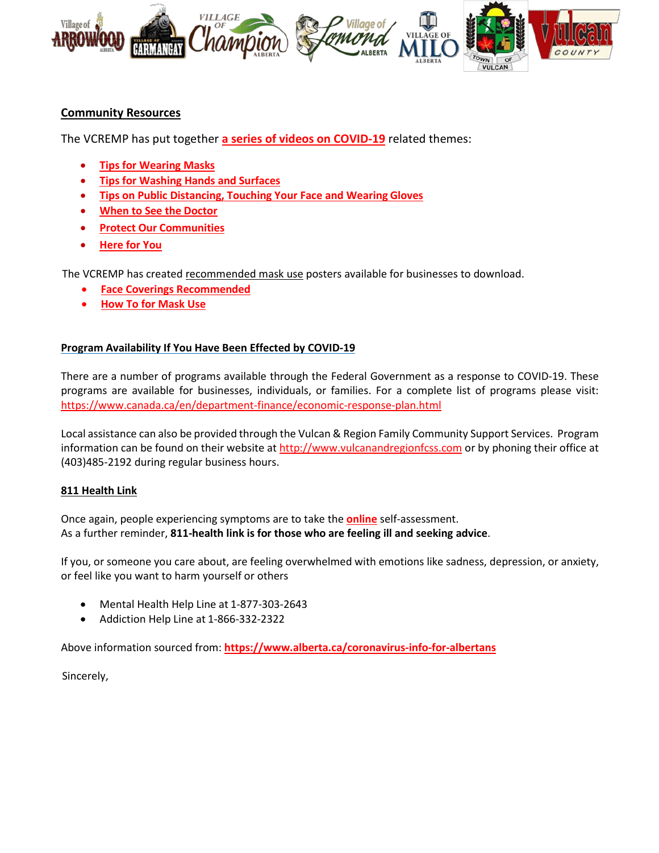

# **Community Resources**

The VCREMP has put together **[a series of videos on COVID-19](https://villageoflomond.ca/allremavideos/)** related themes:

- **[Tips for Wearing](https://youtu.be/mS2rSlOT2n0) Masks**
- **[Tips for Washing Hands and](https://youtu.be/pWpGo3uQe-4) Surfaces**
- **[Tips on Public Distancing, Touching Your Face and Wearing](https://youtu.be/84qhhl06TII) Gloves**
- **[When to See the](https://youtu.be/raDnetqvEXk) Doctor**
- **Protect Our [Communities](https://www.youtube.com/watch?v=swS6GGn_iYg&feature=youtu.be)**
- **[Here for](https://www.youtube.com/watch?v=QhxWFY7HuM4&feature=youtu.be) You**

The VCREMP has created recommended mask use posters available for businesses to download.

- **[Face Coverings Recommended](https://villageofarrowwood.ca/wp-content/uploads/2020/11/Masks-recommended-2-VCREMP.pdf)**
- **[How To for Mask Use](https://villageofarrowwood.ca/wp-content/uploads/2020/11/Masks-recommended-1-VCREMP.pdf)**

## **Program Availability If You Have Been Effected by COVID-19**

There are a number of programs available through the Federal Government as a response to COVID-19. These programs are available for businesses, individuals, or families. For a complete list of programs please visit: <https://www.canada.ca/en/department-finance/economic-response-plan.html>

Local assistance can also be provided through the Vulcan & Region Family Community Support Services. Program information can be found on their website at [http://www.vulcanandregionfcss.com](http://www.vulcanandregionfcss.com/) or by phoning their office at (403)485-2192 during regular business hours.

#### **811 Health Link**

Once again, people experiencing symptoms are to take the **[online](https://myhealth.alberta.ca/Journey/COVID-19/Pages/COVID-Self-Assessment.aspx)** self-assessment. As a further reminder, **811-health link is for those who are feeling ill and seeking advice**.

If you, or someone you care about, are feeling overwhelmed with emotions like sadness, depression, or anxiety, or feel like you want to harm yourself or others

- Mental Health Help Line at 1-877-303-2643
- Addiction Help Line at 1-866-332-2322

Above information sourced from: **<https://www.alberta.ca/coronavirus-info-for-albertans>**

Sincerely,